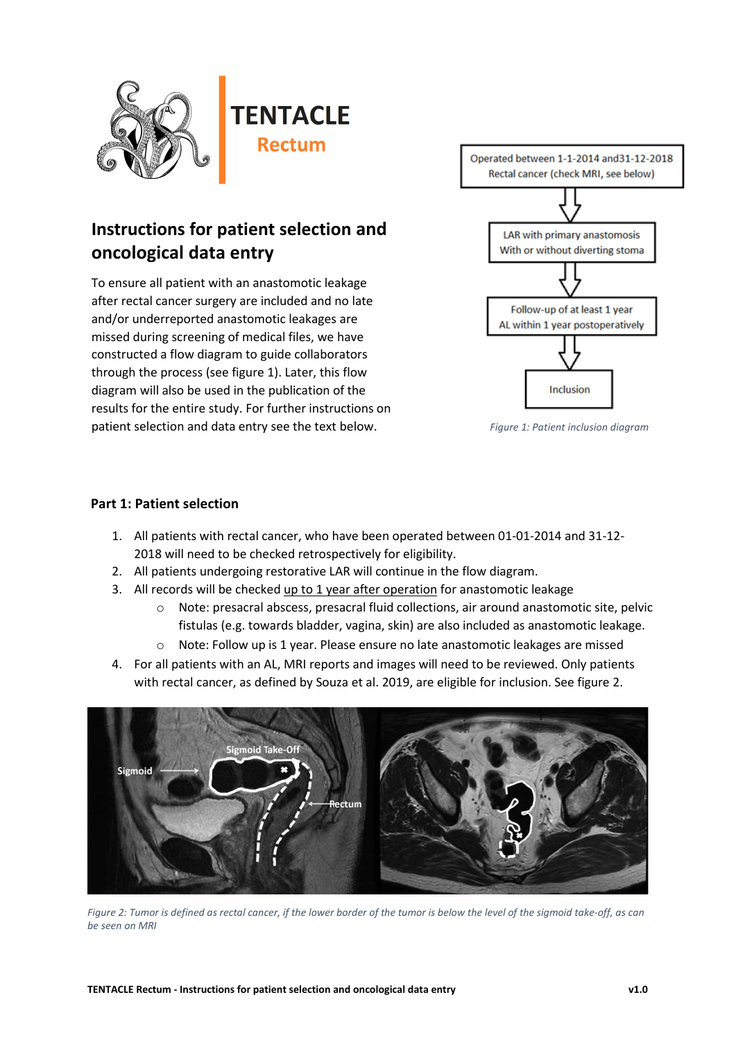

## **Instructions for patient selection and oncological data entry**

To ensure all patient with an anastomotic leakage after rectal cancer surgery are included and no late and/or underreported anastomotic leakages are missed during screening of medical files, we have constructed a flow diagram to guide collaborators through the process (see figure 1). Later, this flow diagram will also be used in the publication of the results for the entire study. For further instructions on patient selection and data entry see the text below.



*Figure 1: Patient inclusion diagram*

## **Part 1: Patient selection**

- 1. All patients with rectal cancer, who have been operated between 01-01-2014 and 31-12- 2018 will need to be checked retrospectively for eligibility.
- 2. All patients undergoing restorative LAR will continue in the flow diagram.
- 3. All records will be checked up to 1 year after operation for anastomotic leakage
	- o Note: presacral abscess, presacral fluid collections, air around anastomotic site, pelvic fistulas (e.g. towards bladder, vagina, skin) are also included as anastomotic leakage.
	- $\circ$  Note: Follow up is 1 year. Please ensure no late anastomotic leakages are missed
- 4. For all patients with an AL, MRI reports and images will need to be reviewed. Only patients with rectal cancer, as defined by Souza et al. 2019, are eligible for inclusion. See figure 2.



*Figure 2: Tumor is defined as rectal cancer, if the lower border of the tumor is below the level of the sigmoid take-off, as can be seen on MRI*